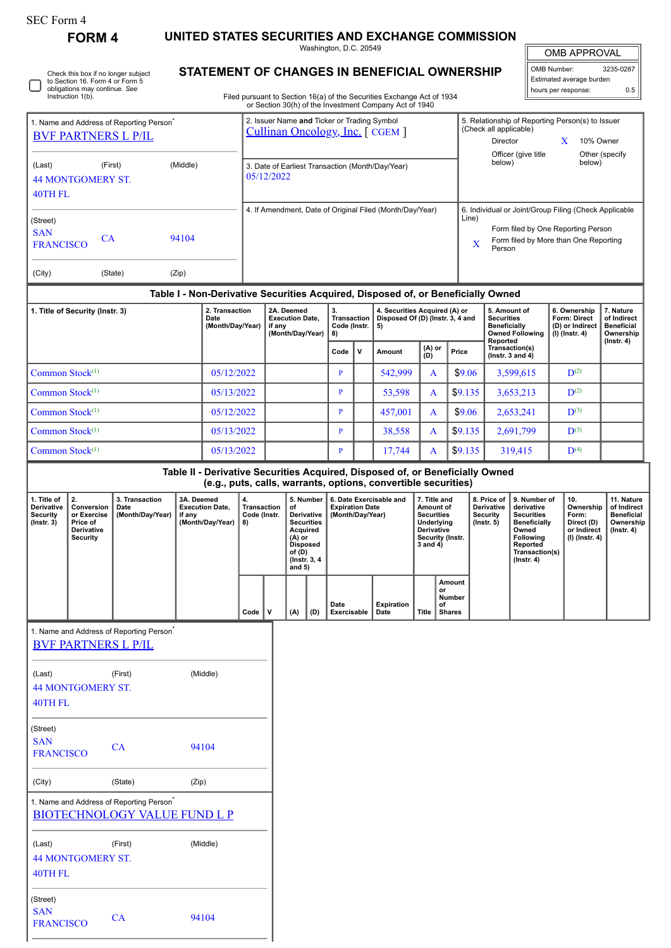| SEC Form 4 |  |
|------------|--|
|------------|--|

| SEC Form 4                                                                         | <b>FORM 4</b>                                                                         |                                                                                             |            |                                                 |                                                                                                                                                                         |                                                                    |                                      |                                                                                   |                                            |                                                                         | UNITED STATES SECURITIES AND EXCHANGE COMMISSION                                                                                                |                                                                                                |                                               |                                        |                                                                   |                                                                                                                                |                                                                     |                                                            |
|------------------------------------------------------------------------------------|---------------------------------------------------------------------------------------|---------------------------------------------------------------------------------------------|------------|-------------------------------------------------|-------------------------------------------------------------------------------------------------------------------------------------------------------------------------|--------------------------------------------------------------------|--------------------------------------|-----------------------------------------------------------------------------------|--------------------------------------------|-------------------------------------------------------------------------|-------------------------------------------------------------------------------------------------------------------------------------------------|------------------------------------------------------------------------------------------------|-----------------------------------------------|----------------------------------------|-------------------------------------------------------------------|--------------------------------------------------------------------------------------------------------------------------------|---------------------------------------------------------------------|------------------------------------------------------------|
|                                                                                    |                                                                                       |                                                                                             |            |                                                 |                                                                                                                                                                         |                                                                    |                                      |                                                                                   | Washington, D.C. 20549                     |                                                                         |                                                                                                                                                 |                                                                                                |                                               |                                        |                                                                   |                                                                                                                                | <b>OMB APPROVAL</b>                                                 |                                                            |
| Check this box if no longer subject                                                |                                                                                       |                                                                                             |            |                                                 |                                                                                                                                                                         |                                                                    |                                      |                                                                                   |                                            |                                                                         | STATEMENT OF CHANGES IN BENEFICIAL OWNERSHIP                                                                                                    |                                                                                                |                                               |                                        |                                                                   |                                                                                                                                | OMB Number:                                                         | 3235-0287                                                  |
|                                                                                    | to Section 16. Form 4 or Form 5<br>obligations may continue. See<br>Instruction 1(b). |                                                                                             |            |                                                 |                                                                                                                                                                         |                                                                    |                                      |                                                                                   |                                            |                                                                         | Filed pursuant to Section 16(a) of the Securities Exchange Act of 1934<br>or Section 30(h) of the Investment Company Act of 1940                |                                                                                                |                                               |                                        |                                                                   |                                                                                                                                | Estimated average burden<br>hours per response:                     | 0.5                                                        |
| 1. Name and Address of Reporting Person <sup>®</sup><br><b>BVF PARTNERS L P/IL</b> |                                                                                       |                                                                                             |            |                                                 | 2. Issuer Name and Ticker or Trading Symbol<br>5. Relationship of Reporting Person(s) to Issuer<br>(Check all applicable)<br>Cullinan Oncology, Inc. [CGEM]<br>Director |                                                                    |                                      |                                                                                   |                                            |                                                                         |                                                                                                                                                 |                                                                                                |                                               |                                        | X                                                                 | 10% Owner                                                                                                                      |                                                                     |                                                            |
|                                                                                    |                                                                                       |                                                                                             |            |                                                 |                                                                                                                                                                         |                                                                    |                                      |                                                                                   |                                            |                                                                         |                                                                                                                                                 |                                                                                                |                                               |                                        | below)                                                            | Officer (give title                                                                                                            | below)                                                              | Other (specify                                             |
| (Middle)<br>(Last)<br>(First)<br>05/12/2022<br><b>44 MONTGOMERY ST.</b><br>40TH FL |                                                                                       |                                                                                             |            |                                                 | 3. Date of Earliest Transaction (Month/Day/Year)                                                                                                                        |                                                                    |                                      |                                                                                   |                                            |                                                                         |                                                                                                                                                 |                                                                                                |                                               |                                        |                                                                   |                                                                                                                                |                                                                     |                                                            |
|                                                                                    |                                                                                       |                                                                                             |            |                                                 |                                                                                                                                                                         |                                                                    |                                      |                                                                                   |                                            |                                                                         | 4. If Amendment, Date of Original Filed (Month/Day/Year)                                                                                        |                                                                                                |                                               | Line)                                  |                                                                   |                                                                                                                                | 6. Individual or Joint/Group Filing (Check Applicable               |                                                            |
| (Street)<br><b>SAN</b>                                                             | CA                                                                                    |                                                                                             | 94104      |                                                 |                                                                                                                                                                         |                                                                    |                                      |                                                                                   |                                            |                                                                         |                                                                                                                                                 |                                                                                                |                                               |                                        |                                                                   |                                                                                                                                | Form filed by One Reporting Person                                  |                                                            |
| <b>FRANCISCO</b>                                                                   |                                                                                       |                                                                                             |            |                                                 |                                                                                                                                                                         |                                                                    |                                      |                                                                                   |                                            |                                                                         |                                                                                                                                                 |                                                                                                |                                               | X                                      | Person                                                            |                                                                                                                                | Form filed by More than One Reporting                               |                                                            |
| (City)                                                                             |                                                                                       | (State)                                                                                     | (Zip)      |                                                 |                                                                                                                                                                         |                                                                    |                                      |                                                                                   |                                            |                                                                         |                                                                                                                                                 |                                                                                                |                                               |                                        |                                                                   |                                                                                                                                |                                                                     |                                                            |
|                                                                                    |                                                                                       |                                                                                             |            |                                                 |                                                                                                                                                                         |                                                                    |                                      |                                                                                   |                                            |                                                                         | Table I - Non-Derivative Securities Acquired, Disposed of, or Beneficially Owned                                                                |                                                                                                |                                               |                                        |                                                                   |                                                                                                                                |                                                                     |                                                            |
|                                                                                    | 1. Title of Security (Instr. 3)                                                       |                                                                                             |            | 2. Transaction<br>Date<br>(Month/Day/Year)      |                                                                                                                                                                         | 2A. Deemed<br><b>Execution Date,</b><br>if any<br>(Month/Day/Year) |                                      | 3.<br><b>Transaction</b><br>Code (Instr.<br>8)                                    |                                            | 4. Securities Acquired (A) or<br>Disposed Of (D) (Instr. 3, 4 and<br>5) |                                                                                                                                                 | <b>Securities</b><br><b>Beneficially</b>                                                       |                                               | 5. Amount of<br><b>Owned Following</b> | 6. Ownership<br>Form: Direct<br>(D) or Indirect<br>(I) (Instr. 4) | 7. Nature<br>of Indirect<br><b>Beneficial</b><br>Ownership                                                                     |                                                                     |                                                            |
|                                                                                    |                                                                                       |                                                                                             |            |                                                 |                                                                                                                                                                         |                                                                    |                                      |                                                                                   | Code                                       | v                                                                       | Amount                                                                                                                                          | (A) or<br>(D)                                                                                  |                                               | Price                                  | Reported                                                          | Transaction(s)<br>( $lnstr. 3 and 4$ )                                                                                         |                                                                     | $($ lnstr. 4 $)$                                           |
| Common Stock <sup>(1)</sup>                                                        |                                                                                       |                                                                                             |            | 05/12/2022                                      |                                                                                                                                                                         |                                                                    |                                      |                                                                                   | P                                          |                                                                         | 542,999                                                                                                                                         |                                                                                                | \$9.06<br>A                                   |                                        |                                                                   | 3,599,615                                                                                                                      | $\mathbf{D}^{(2)}$                                                  |                                                            |
| Common Stock <sup>(1)</sup>                                                        |                                                                                       |                                                                                             |            | 05/13/2022                                      |                                                                                                                                                                         |                                                                    |                                      |                                                                                   | P                                          |                                                                         | 53,598                                                                                                                                          | A                                                                                              |                                               | \$9.135                                |                                                                   | 3,653,213                                                                                                                      | $\mathbf{D}^{(2)}$                                                  |                                                            |
| Common Stock <sup>(1)</sup>                                                        |                                                                                       |                                                                                             |            | 05/12/2022                                      |                                                                                                                                                                         |                                                                    |                                      |                                                                                   | P                                          |                                                                         | 457,001                                                                                                                                         | A                                                                                              |                                               | \$9.06                                 |                                                                   | 2,653,241                                                                                                                      | $\mathbf{D}^{(3)}$                                                  |                                                            |
| Common Stock <sup>(1)</sup>                                                        |                                                                                       |                                                                                             |            | 05/13/2022                                      |                                                                                                                                                                         |                                                                    |                                      |                                                                                   | P                                          |                                                                         | 38,558                                                                                                                                          | A                                                                                              |                                               | \$9.135                                |                                                                   | 2,691,799                                                                                                                      | $\mathbf{D}^{(3)}$                                                  |                                                            |
| Common Stock <sup>(1)</sup>                                                        |                                                                                       |                                                                                             |            | 05/13/2022                                      |                                                                                                                                                                         |                                                                    |                                      |                                                                                   | P                                          |                                                                         | 17,744                                                                                                                                          | A                                                                                              |                                               | \$9.135                                |                                                                   | 319,415                                                                                                                        | $\mathbf{D}^{(4)}$                                                  |                                                            |
|                                                                                    |                                                                                       |                                                                                             |            |                                                 |                                                                                                                                                                         |                                                                    |                                      |                                                                                   |                                            |                                                                         | Table II - Derivative Securities Acquired, Disposed of, or Beneficially Owned<br>(e.g., puts, calls, warrants, options, convertible securities) |                                                                                                |                                               |                                        |                                                                   |                                                                                                                                |                                                                     |                                                            |
| 1. Title of                                                                        | 2.                                                                                    | 3. Transaction                                                                              | 3A. Deemed |                                                 | 4.                                                                                                                                                                      |                                                                    |                                      | 5. Number                                                                         |                                            |                                                                         | 6. Date Exercisable and                                                                                                                         |                                                                                                | 7. Title and                                  |                                        | 8. Price of                                                       | 9. Number of                                                                                                                   | 10.                                                                 | 11. Nature                                                 |
| Derivative<br>Security<br>$($ Instr. $3)$                                          | Conversion<br>or Exercise  <br>Price of<br><b>Derivative</b><br>Security              | Date<br>(Month/Day/Year)   if any                                                           |            | <b>Execution Date.</b><br>(Month/Day/Year)   8) | Transaction<br>Code (Instr.                                                                                                                                             |                                                                    | of<br>$(A)$ or<br>of (D)<br>and $5)$ | Derivative  <br><b>Securities</b><br>Acquired<br><b>Disposed</b><br>(Instr. 3, 4) | <b>Expiration Date</b><br>(Month/Day/Year) |                                                                         |                                                                                                                                                 | Amount of<br><b>Securities</b><br>Underlying<br>Derivative<br>Security (Instr.<br>$3$ and $4)$ |                                               |                                        | Derivative<br>Security<br>$($ lnstr. 5 $)$                        | derivative<br><b>Securities</b><br><b>Beneficially</b><br>Owned<br>Following<br>Reported<br>Transaction(s)<br>$($ Instr. 4 $)$ | Ownership<br>Form:<br>Direct (D)<br>or Indirect<br>$(I)$ (Instr. 4) | of Indirect<br>Beneficial<br>Ownership<br>$($ lnstr. 4 $)$ |
|                                                                                    |                                                                                       |                                                                                             |            |                                                 | Code                                                                                                                                                                    | v                                                                  | (A)                                  | (D)                                                                               | Date<br>Exercisable                        |                                                                         | <b>Expiration</b><br>Date                                                                                                                       | <b>Title</b>                                                                                   | Amount<br>or<br>Number<br>of<br><b>Shares</b> |                                        |                                                                   |                                                                                                                                |                                                                     |                                                            |
|                                                                                    |                                                                                       | 1. Name and Address of Reporting Person <sup>®</sup>                                        |            |                                                 |                                                                                                                                                                         |                                                                    |                                      |                                                                                   |                                            |                                                                         |                                                                                                                                                 |                                                                                                |                                               |                                        |                                                                   |                                                                                                                                |                                                                     |                                                            |
|                                                                                    | <b>BVF PARTNERS L P/IL</b>                                                            |                                                                                             |            |                                                 |                                                                                                                                                                         |                                                                    |                                      |                                                                                   |                                            |                                                                         |                                                                                                                                                 |                                                                                                |                                               |                                        |                                                                   |                                                                                                                                |                                                                     |                                                            |
| (Last)                                                                             |                                                                                       | (First)                                                                                     |            | (Middle)                                        |                                                                                                                                                                         |                                                                    |                                      |                                                                                   |                                            |                                                                         |                                                                                                                                                 |                                                                                                |                                               |                                        |                                                                   |                                                                                                                                |                                                                     |                                                            |
| 40TH FL                                                                            | <b>44 MONTGOMERY ST.</b>                                                              |                                                                                             |            |                                                 |                                                                                                                                                                         |                                                                    |                                      |                                                                                   |                                            |                                                                         |                                                                                                                                                 |                                                                                                |                                               |                                        |                                                                   |                                                                                                                                |                                                                     |                                                            |
| (Street)<br><b>SAN</b><br><b>FRANCISCO</b>                                         |                                                                                       | CA                                                                                          |            | 94104                                           |                                                                                                                                                                         |                                                                    |                                      |                                                                                   |                                            |                                                                         |                                                                                                                                                 |                                                                                                |                                               |                                        |                                                                   |                                                                                                                                |                                                                     |                                                            |
| (City)                                                                             |                                                                                       | (State)                                                                                     | (Zip)      |                                                 |                                                                                                                                                                         |                                                                    |                                      |                                                                                   |                                            |                                                                         |                                                                                                                                                 |                                                                                                |                                               |                                        |                                                                   |                                                                                                                                |                                                                     |                                                            |
|                                                                                    |                                                                                       | 1. Name and Address of Reporting Person <sup>*</sup><br><b>BIOTECHNOLOGY VALUE FUND L P</b> |            |                                                 |                                                                                                                                                                         |                                                                    |                                      |                                                                                   |                                            |                                                                         |                                                                                                                                                 |                                                                                                |                                               |                                        |                                                                   |                                                                                                                                |                                                                     |                                                            |
| (Last)                                                                             | <b>44 MONTGOMERY ST.</b>                                                              | (First)                                                                                     |            | (Middle)                                        |                                                                                                                                                                         |                                                                    |                                      |                                                                                   |                                            |                                                                         |                                                                                                                                                 |                                                                                                |                                               |                                        |                                                                   |                                                                                                                                |                                                                     |                                                            |
| <b>40TH FL</b>                                                                     |                                                                                       |                                                                                             |            |                                                 |                                                                                                                                                                         |                                                                    |                                      |                                                                                   |                                            |                                                                         |                                                                                                                                                 |                                                                                                |                                               |                                        |                                                                   |                                                                                                                                |                                                                     |                                                            |

| $-1$                           |    |       |
|--------------------------------|----|-------|
| (Street)                       |    |       |
| <b>SAN</b><br><b>FRANCISCO</b> | CA | 94104 |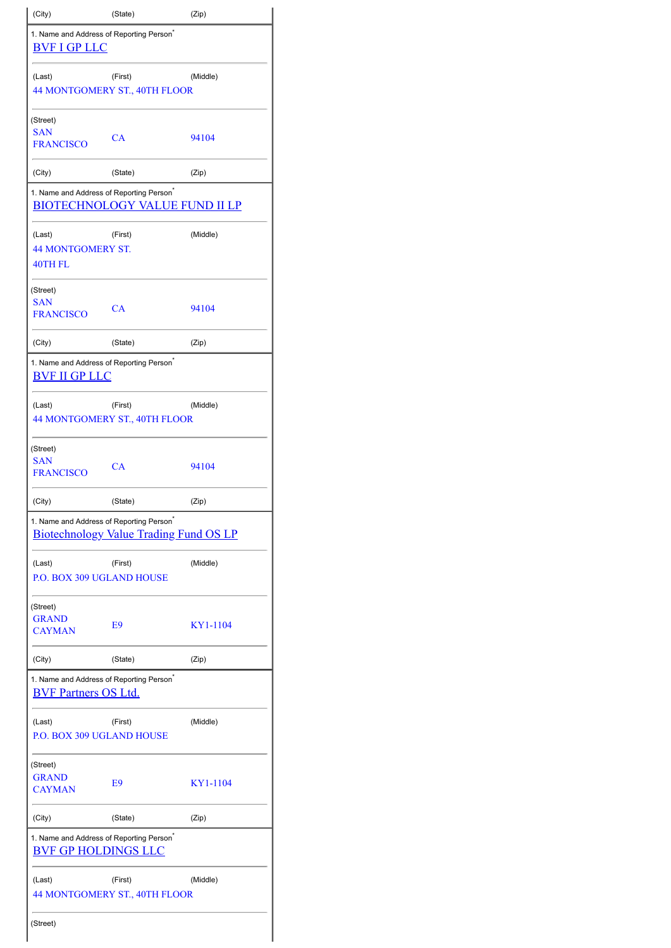| (City)                                                                                                | (State)                                  | (Zip)    |  |  |  |  |  |
|-------------------------------------------------------------------------------------------------------|------------------------------------------|----------|--|--|--|--|--|
| 1. Name and Address of Reporting Person <sup>®</sup><br><b>BVF I GP LLC</b>                           |                                          |          |  |  |  |  |  |
| (Last)                                                                                                | (First)<br>44 MONTGOMERY ST., 40TH FLOOR | (Middle) |  |  |  |  |  |
| (Street)                                                                                              |                                          |          |  |  |  |  |  |
| <b>SAN</b><br><b>FRANCISCO</b>                                                                        | CA                                       | 94104    |  |  |  |  |  |
| (City)                                                                                                | (State)                                  | (Zip)    |  |  |  |  |  |
| 1. Name and Address of Reporting Person <sup>®</sup><br><b>BIOTECHNOLOGY VALUE FUND II LP</b>         |                                          |          |  |  |  |  |  |
| (Last)<br><b>44 MONTGOMERY ST.</b><br><b>40TH FL</b>                                                  | (First)                                  | (Middle) |  |  |  |  |  |
| (Street)                                                                                              |                                          |          |  |  |  |  |  |
| <b>SAN</b><br><b>FRANCISCO</b>                                                                        | CA                                       | 94104    |  |  |  |  |  |
| (City)                                                                                                | (State)                                  | (Zip)    |  |  |  |  |  |
| 1. Name and Address of Reporting Person <sup>®</sup><br><b>BVF II GP LLC</b>                          |                                          |          |  |  |  |  |  |
| (Last)                                                                                                | (First)<br>44 MONTGOMERY ST., 40TH FLOOR | (Middle) |  |  |  |  |  |
| (Street)<br>SAN<br><b>FRANCISCO</b>                                                                   | CA                                       | 94104    |  |  |  |  |  |
| (City)                                                                                                | (State)                                  | (Zip)    |  |  |  |  |  |
| 1. Name and Address of Reporting Person <sup>®</sup><br><b>Biotechnology Value Trading Fund OS LP</b> |                                          |          |  |  |  |  |  |
| (Last)<br><b>P.O. BOX 309 UGLAND HOUSE</b>                                                            | (First)                                  | (Middle) |  |  |  |  |  |
| (Street)<br><b>GRAND</b><br><b>CAYMAN</b>                                                             | E9                                       | KY1-1104 |  |  |  |  |  |
| (City)                                                                                                | (State)                                  | (Zip)    |  |  |  |  |  |
| 1. Name and Address of Reporting Person <sup>®</sup><br><b>BVF Partners OS Ltd.</b>                   |                                          |          |  |  |  |  |  |
| (Last)<br><b>P.O. BOX 309 UGLAND HOUSE</b>                                                            | (First)                                  | (Middle) |  |  |  |  |  |
| (Street)<br><b>GRAND</b><br>CAYMAN                                                                    | E9                                       | KY1-1104 |  |  |  |  |  |
| (City)                                                                                                | (State)                                  | (Zip)    |  |  |  |  |  |
| 1. Name and Address of Reporting Person <sup>®</sup><br><b>BVF GP HOLDINGS LLC</b>                    |                                          |          |  |  |  |  |  |
| (Last)                                                                                                | (First)<br>44 MONTGOMERY ST., 40TH FLOOR | (Middle) |  |  |  |  |  |
| (Street)                                                                                              |                                          |          |  |  |  |  |  |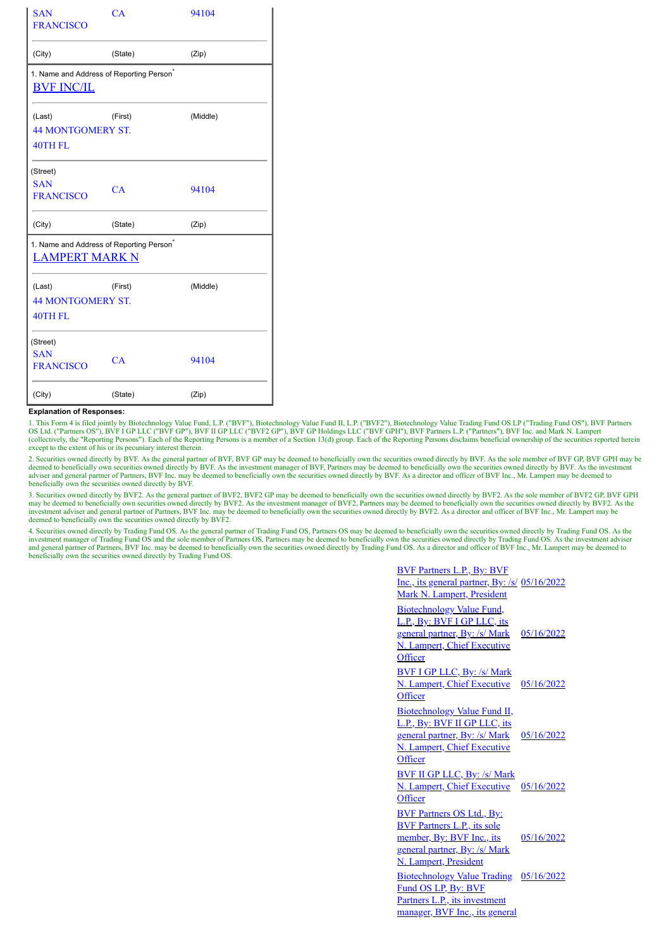| <b>SAN</b><br><b>FRANCISCO</b>                                            | CA      | 94104    |  |  |  |  |
|---------------------------------------------------------------------------|---------|----------|--|--|--|--|
| (City)                                                                    | (State) |          |  |  |  |  |
| 1. Name and Address of Reporting Person <sup>*</sup><br><b>BVF INC/IL</b> |         |          |  |  |  |  |
| (Last)<br><b>44 MONTGOMERY ST.</b><br>40TH FL                             | (First) | (Middle) |  |  |  |  |
| (Street)<br><b>SAN</b><br><b>FRANCISCO</b>                                | CA      | 94104    |  |  |  |  |
| (City)                                                                    | (State) | (Zip)    |  |  |  |  |
| 1. Name and Address of Reporting Person <sup>®</sup><br>LAMPERT MARK N    |         |          |  |  |  |  |
| (Last)<br><b>44 MONTGOMERY ST.</b><br><b>40TH FL</b>                      | (First) | (Middle) |  |  |  |  |
| (Street)<br><b>SAN</b><br><b>FRANCISCO</b>                                | CA      | 94104    |  |  |  |  |
| (City)                                                                    | (State) | (Zip)    |  |  |  |  |

## **Explanation of Responses:**

1. This Form 4 is filed jointly by Biotechnology Value Fund, L.P. ("BVF"), Biotechnology Value Fund II, L.P. ("BVF2"), Biotechnology Value Trading Fund OS LP ("Trading Fund OS"), BVF Partners<br>OS Ltd. ("Partners OS"), BVF I except to the extent of his or its pecuniary interest therein.

2. Securities owned directly by BVF. As the general partner of BVF, BVF GP may be deemed to beneficially own the securities owned directly by BVF. As the sole member of BVF GP, BVF GPH may be deemed to beneficially own the adviser and general partner of Partners, BVF Inc. may be deemed to beneficially own the securities owned directly by BVF. As a director and officer of BVF Inc., Mr. Lampert may be deemed to beneficially own the securities

3. Securities owned directly by BVF2. As the general partner of BVF2, BVF2 GP may be deemed to beneficially own the securities owned directly by BVF2. As the sole member of BVF2 GP, BVF GPH may be deemed to beneficially ow investment adviser and general partner of Partners, BVF Inc. may be deemed to beneficially own the securities owned directly by BVF2. As a director and officer of BVF Inc., Mr. Lampert may be investment adviser and general deemed to beneficially own the securities owned directly by BVF2.

4. Securities owned directly by Trading Fund OS. As the general partner of Trading Fund OS, Partners OS may be deemed to beneficially own the securities owned directly by Trading Fund OS. As the investment manager of Trading Fund OS and the sole member of Partners OS, Partners may be deemed to beneficially own the securities owned directly by Trading Fund OS. As the investment adviser<br>and general partner of Partne beneficially own the securities owned directly by Trading Fund OS.

| <b>BVF Partners L.P., By: BVF</b><br>Inc., its general partner, By: /s/ 05/16/2022<br>Mark N. Lampert, President                                                     |            |
|----------------------------------------------------------------------------------------------------------------------------------------------------------------------|------------|
| <b>Biotechnology Value Fund,</b><br>L.P., By: BVF I GP LLC, its<br><u>general partner, By: /s/ Mark</u><br>N. Lampert, Chief Executive<br>Officer                    | 05/16/2022 |
| <b>BVF I GP LLC, By: /s/ Mark</b><br>N. Lampert, Chief Executive<br>Officer                                                                                          | 05/16/2022 |
| Biotechnology Value Fund II,<br>L.P., By: BVF II GP LLC, its<br>general partner, By: /s/ Mark<br>N. Lampert, Chief Executive<br>Officer                              | 05/16/2022 |
| <b>BVF II GP LLC, By: /s/ Mark</b><br><b>N. Lampert, Chief Executive</b><br>Officer                                                                                  | 05/16/2022 |
| <b>BVF Partners OS Ltd., By:</b><br><b>BVF Partners L.P., its sole</b><br>member, By: BVF Inc., its<br>general partner, By: /s/ Mark<br><b>N. Lampert, President</b> | 05/16/2022 |
| <b>Biotechnology Value Trading</b><br>Fund OS LP, By: BVF<br>Partners L.P., its investment<br>manager, BVF Inc., its general                                         | 05/16/2022 |